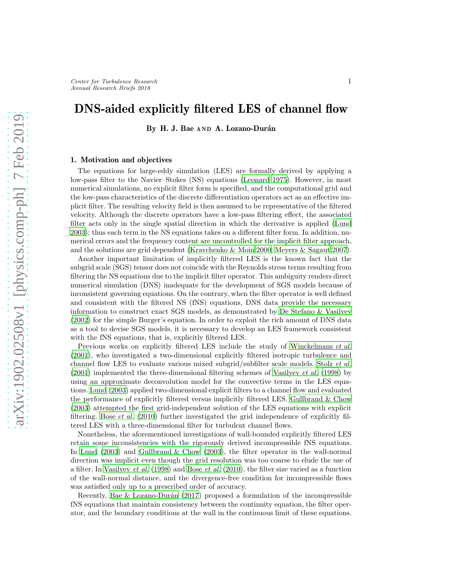# DNS-aided explicitly filtered LES of channel flow

By H. J. Bae AND A. Lozano-Durán

## 1. Motivation and objectives

The equations for large-eddy simulation (LES) are formally derived by applying a low-pass filter to the Navier–Stokes (NS) equations [\(Leonard 1975\)](#page-10-0). However, in most numerical simulations, no explicit filter form is specified, and the computational grid and the low-pass characteristics of the discrete differentiation operators act as an effective implicit filter. The resulting velocity field is then assumed to be representative of the filtered velocity. Although the discrete operators have a low-pass filtering effect, the associated filter acts only in the single spatial direction in which the derivative is applied [\(Lund](#page-10-1) [2003\)](#page-10-1); thus each term in the NS equations takes on a different filter form. In addition, numerical errors and the frequency content are uncontrolled for the implicit filter approach, and the solutions are grid dependent [\(Kravchenko & Moin 2000;](#page-10-2) [Meyers & Sagaut 2007\)](#page-10-3).

Another important limitation of implicitly filtered LES is the known fact that the subgrid scale (SGS) tensor does not coincide with the Reynolds stress terms resulting from filtering the NS equations due to the implicit filter operator. This ambiguity renders direct numerical simulation (DNS) inadequate for the development of SGS models because of inconsistent governing equations. On the contrary, when the filter operator is well defined and consistent with the filtered NS (fNS) equations, DNS data provide the necessary information to construct exact SGS models, as demonstrated by [De Stefano & Vasilyev](#page-9-0) [\(2002\)](#page-9-0) for the simple Burger's equation. In order to exploit the rich amount of DNS data as a tool to devise SGS models, it is necessary to develop an LES framework consistent with the fNS equations, that is, explicitly filtered LES.

Previous works on explicitly filtered LES include the study of [Winckelmans](#page-10-4) et al. [\(2001\)](#page-10-4), who investigated a two-dimensional explicitly filtered isotropic turbulence and channel flow LES to evaluate various mixed subgrid/subfilter scale models. [Stolz](#page-10-5) et al.  $(2001)$  implemented the three-dimensional filtering schemes of [Vasilyev](#page-10-6) *et al.* [\(1998\)](#page-10-6) by using an approximate deconvolution model for the convective terms in the LES equations. [Lund \(2003](#page-10-1)) applied two-dimensional explicit filters to a channel flow and evaluated the performance of explicitly filtered versus implicitly filtered LES. [Gullbrand & Chow](#page-9-1) [\(2003\)](#page-9-1) attempted the first grid-independent solution of the LES equations with explicit filtering. Bose [et al.](#page-9-2) [\(2010\)](#page-9-2) further investigated the grid independence of explicitly filtered LES with a three-dimensional filter for turbulent channel flows.

Nonetheless, the aforementioned investigations of wall-bounded explicitly filtered LES retain some inconsistencies with the rigorously derived incompressible fNS equations. In [Lund \(2003\)](#page-10-1) and [Gullbrand & Chow \(2003\)](#page-9-1), the filter operator in the wall-normal direction was implicit even though the grid resolution was too coarse to elude the use of a filter. In [Vasilyev](#page-10-6) *[et al.](#page-9-2)* [\(1998](#page-10-6)) and Bose *et al.* [\(2010](#page-9-2)), the filter size varied as a function of the wall-normal distance, and the divergence-free condition for incompressible flows was satisfied only up to a prescribed order of accuracy.

Recently, Bae  $&$  Lozano-Durán (2017) proposed a formulation of the incompressible fNS equations that maintain consistency between the continuity equation, the filter operator, and the boundary conditions at the wall in the continuous limit of these equations.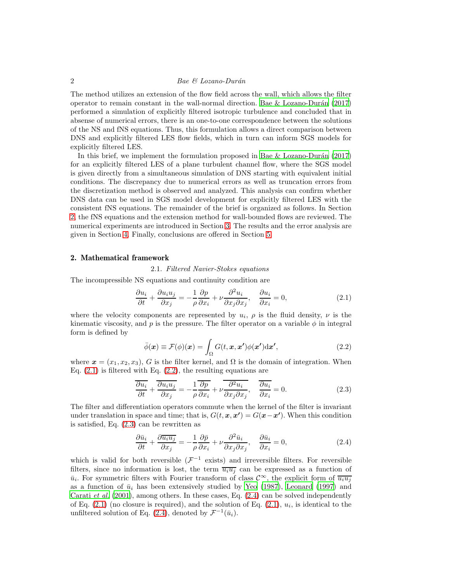# 2 Bae & Lozano-Durán

The method utilizes an extension of the flow field across the wall, which allows the filter operator to remain constant in the wall-normal direction. Bae & Lozano-Durán (2017) performed a simulation of explicitly filtered isotropic turbulence and concluded that in absense of numerical errors, there is an one-to-one correspondence between the solutions of the NS and fNS equations. Thus, this formulation allows a direct comparison between DNS and explicitly filtered LES flow fields, which in turn can inform SGS models for explicitly filtered LES.

In this brief, we implement the formulation proposed in Bae  $&$  Lozano-Durán (2017) for an explicitly filtered LES of a plane turbulent channel flow, where the SGS model is given directly from a simultaneous simulation of DNS starting with equivalent initial conditions. The discrepancy due to numerical errors as well as truncation errors from the discretization method is observed and analyzed. This analysis can confirm whether DNS data can be used in SGS model development for explicitly filtered LES with the consistent fNS equations. The remainder of the brief is organized as follows. In Section [2,](#page-1-0) the fNS equations and the extension method for wall-bounded flows are reviewed. The numerical experiments are introduced in Section [3.](#page-4-0) The results and the error analysis are given in Section [4.](#page-5-0) Finally, conclusions are offered in Section [5.](#page-8-0)

# <span id="page-1-5"></span><span id="page-1-0"></span>2. Mathematical framework

2.1. Filtered Navier-Stokes equations

The incompressible NS equations and continuity condition are

<span id="page-1-1"></span>
$$
\frac{\partial u_i}{\partial t} + \frac{\partial u_i u_j}{\partial x_j} = -\frac{1}{\rho} \frac{\partial p}{\partial x_i} + \nu \frac{\partial^2 u_i}{\partial x_j \partial x_j}, \quad \frac{\partial u_i}{\partial x_i} = 0,
$$
\n(2.1)

where the velocity components are represented by  $u_i$ ,  $\rho$  is the fluid density,  $\nu$  is the kinematic viscosity, and p is the pressure. The filter operator on a variable  $\phi$  in integral form is defined by

<span id="page-1-2"></span>
$$
\bar{\phi}(\boldsymbol{x}) \equiv \mathcal{F}(\phi)(\boldsymbol{x}) = \int_{\Omega} G(t, \boldsymbol{x}, \boldsymbol{x'}) \phi(\boldsymbol{x'}) \mathrm{d}\boldsymbol{x'}, \tag{2.2}
$$

where  $\mathbf{x} = (x_1, x_2, x_3)$ , G is the filter kernel, and  $\Omega$  is the domain of integration. When Eq.  $(2.1)$  is filtered with Eq.  $(2.2)$ , the resulting equations are

<span id="page-1-3"></span>
$$
\frac{\partial u_i}{\partial t} + \frac{\overline{\partial u_i u_j}}{\partial x_j} = -\frac{1}{\rho} \frac{\overline{\partial p}}{\overline{\partial x_i}} + \nu \frac{\overline{\partial^2 u_i}}{\overline{\partial x_j \partial x_j}}, \quad \frac{\overline{\partial u_i}}{\overline{\partial x_i}} = 0.
$$
\n(2.3)

The filter and differentiation operators commute when the kernel of the filter is invariant under translation in space and time; that is,  $G(t, x, x') = G(x-x')$ . When this condition is satisfied, Eq. [\(2.3\)](#page-1-3) can be rewritten as

<span id="page-1-4"></span>
$$
\frac{\partial \bar{u}_i}{\partial t} + \frac{\partial \bar{u}_i u_j}{\partial x_j} = -\frac{1}{\rho} \frac{\partial \bar{p}}{\partial x_i} + \nu \frac{\partial^2 \bar{u}_i}{\partial x_j \partial x_j}, \quad \frac{\partial \bar{u}_i}{\partial x_i} = 0,
$$
\n(2.4)

which is valid for both reversible  $(\mathcal{F}^{-1}$  exists) and irreversible filters. For reversible filters, since no information is lost, the term  $\overline{u_i u_j}$  can be expressed as a function of  $\bar{u}_i$ . For symmetric filters with Fourier transform of class  $\mathcal{C}^{\infty}$ , the explicit form of  $\overline{u_i u_j}$ as a function of  $\bar{u}_i$  has been extensively studied by [Yeo \(1987\)](#page-10-7), [Leonard \(1997\)](#page-10-8) and [Carati](#page-9-4) et al.  $(2001)$ , among others. In these cases, Eq.  $(2.4)$  can be solved independently of Eq.  $(2.1)$  (no closure is required), and the solution of Eq.  $(2.1)$ ,  $u_i$ , is identical to the unfiltered solution of Eq.  $(2.4)$ , denoted by  $\mathcal{F}^{-1}(\bar{u}_i)$ .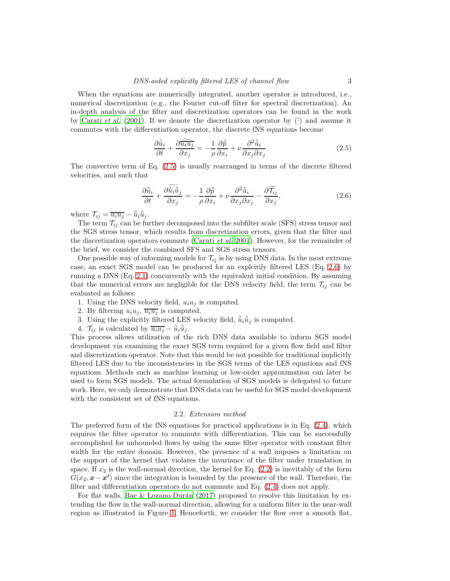When the equations are numerically integrated, another operator is introduced, i.e., numerical discretization (e.g., the Fourier cut-off filter for spectral discretization). An in-depth analysis of the filter and discretization operators can be found in the work by [Carati](#page-9-4) *et al.* [\(2001](#page-9-4)). If we denote the discretization operator by  $\tilde{\cdot}$  and assume it commutes with the differentiation operator, the discrete fNS equations become

<span id="page-2-1"></span><span id="page-2-0"></span>
$$
\frac{\partial \tilde{\tilde{u}}_i}{\partial t} + \frac{\partial \widetilde{\tilde{u_i u_j}}}{\partial x_j} = -\frac{1}{\rho} \frac{\partial \tilde{\tilde{p}}}{\partial x_i} + \nu \frac{\partial^2 \tilde{\tilde{u}}_i}{\partial x_j \partial x_j}.
$$
\n(2.5)

The convective term of Eq. [\(2.5\)](#page-2-0) is usually rearranged in terms of the discrete filtered velocities, and such that

$$
\frac{\partial \tilde{\bar{u}}_i}{\partial t} + \frac{\partial \tilde{\bar{u}}_i \tilde{\bar{u}}_j}{\partial x_j} = -\frac{1}{\rho} \frac{\partial \tilde{\bar{p}}}{\partial x_i} + \nu \frac{\partial^2 \tilde{\bar{u}}_i}{\partial x_j \partial x_j} - \frac{\partial \widetilde{\mathcal{T}_{ij}}}{\partial x_j},\tag{2.6}
$$

where  $\mathcal{T}_{ij} = \overline{u_i u_j} - \tilde{\tilde{u}}_i \tilde{\tilde{u}}_j$ .

The term  $\mathcal{T}_{ij}$  can be further decomposed into the subfilter scale (SFS) stress tensor and the SGS stress tensor, which results from discretization errors, given that the filter and the discretization operators commute [\(Carati](#page-9-4) *et al.* [2001\)](#page-9-4). However, for the remainder of the brief, we consider the combined SFS and SGS stress tensors.

One possible way of informing models for  $\mathcal{T}_{ij}$  is by using DNS data. In the most extreme case, an exact SGS model can be produced for an explcitily filtered LES (Eq. [2.6\)](#page-2-1) by running a DNS (Eq. [2.1\)](#page-1-1) concurrently with the equivalent initial condition. By assuming that the numerical errors are negligible for the DNS velocity field, the term  $\mathcal{T}_{ij}$  can be evaluated as follows:

- 1. Using the DNS velocity field,  $u_i u_j$  is computed.
- 2. By filtering  $u_i u_j$ ,  $\overline{u_i u_j}$  is computed.
- 3. Using the explicitly filtered LES velocity field,  $\tilde{\bar{u}}_i \tilde{\bar{u}}_j$  is computed.
- 4.  $\mathcal{T}_{ij}$  is calculated by  $\overline{u_i u_j} \tilde{\bar{u}}_i \tilde{\bar{u}}_j$ .

This process allows utilization of the rich DNS data available to inform SGS model development via examining the exact SGS term required for a given flow field and filter and discretization operator. Note that this would be not possible for traditional implicitly filtered LES due to the inconsistencies in the SGS terms of the LES equations and fNS equations. Methods such as machine learning or low-order approximation can later be used to form SGS models. The actual formulation of SGS models is delegated to future work. Here, we only demonstrate that DNS data can be useful for SGS model development with the consistent set of fNS equations.

#### 2.2. Extension method

The preferred form of the fNS equations for practical applications is in Eq.  $(2.4)$ , which requires the filter operator to commute with differentiation. This can be successfully accomplished for unbounded flows by using the same filter operator with constant filter width for the entire domain. However, the presence of a wall imposes a limitation on the support of the kernel that violates the invariance of the filter under translation in space. If  $x_2$  is the wall-normal direction, the kernel for Eq.  $(2.2)$  is inevitably of the form  $G(x_2, x-x')$  since the integration is bounded by the presence of the wall. Therefore, the filter and differentiation operators do not commute and Eq. [\(2.4\)](#page-1-4) does not apply.

For flat walls, Bae & Lozano-Durán (2017) proposed to resolve this limitation by extending the flow in the wall-normal direction, allowing for a uniform filter in the near-wall region as illustrated in Figure [1.](#page-3-0) Henceforth, we consider the flow over a smooth flat,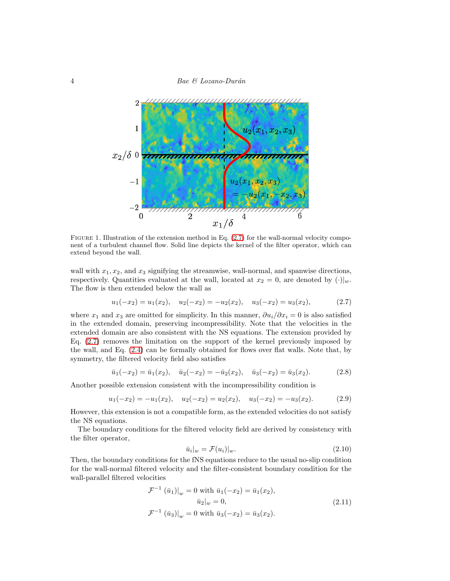4 Bae & Lozano-Durán



<span id="page-3-0"></span>FIGURE 1. Illustration of the extension method in Eq.  $(2.7)$  for the wall-normal velocity component of a turbulent channel flow. Solid line depicts the kernel of the filter operator, which can extend beyond the wall.

wall with  $x_1, x_2$ , and  $x_3$  signifying the streamwise, wall-normal, and spanwise directions, respectively. Quantities evaluated at the wall, located at  $x_2 = 0$ , are denoted by  $(\cdot)|_w$ . The flow is then extended below the wall as

<span id="page-3-1"></span>
$$
u_1(-x_2) = u_1(x_2), \quad u_2(-x_2) = -u_2(x_2), \quad u_3(-x_2) = u_3(x_2), \tag{2.7}
$$

where  $x_1$  and  $x_3$  are omitted for simplicity. In this manner,  $\partial u_i/\partial x_i = 0$  is also satisfied in the extended domain, preserving incompressibility. Note that the velocities in the extended domain are also consistent with the NS equations. The extension provided by Eq. [\(2.7\)](#page-3-1) removes the limitation on the support of the kernel previously imposed by the wall, and Eq. [\(2.4\)](#page-1-4) can be formally obtained for flows over flat walls. Note that, by symmetry, the filtered velocity field also satisfies

$$
\bar{u}_1(-x_2) = \bar{u}_1(x_2), \quad \bar{u}_2(-x_2) = -\bar{u}_2(x_2), \quad \bar{u}_3(-x_2) = \bar{u}_3(x_2). \tag{2.8}
$$

Another possible extension consistent with the incompressibility condition is

$$
u_1(-x_2) = -u_1(x_2), \quad u_2(-x_2) = u_2(x_2), \quad u_3(-x_2) = -u_3(x_2). \tag{2.9}
$$

However, this extension is not a compatible form, as the extended velocities do not satisfy the NS equations.

The boundary conditions for the filtered velocity field are derived by consistency with the filter operator,

$$
\bar{u}_i|_w = \mathcal{F}(u_i)|_w. \tag{2.10}
$$

Then, the boundary conditions for the fNS equations reduce to the usual no-slip condition for the wall-normal filtered velocity and the filter-consistent boundary condition for the wall-parallel filtered velocities

$$
\mathcal{F}^{-1} (\bar{u}_1)|_w = 0 \text{ with } \bar{u}_1(-x_2) = \bar{u}_1(x_2),
$$
  
\n
$$
\bar{u}_2|_w = 0,
$$
  
\n
$$
\mathcal{F}^{-1} (\bar{u}_3)|_w = 0 \text{ with } \bar{u}_3(-x_2) = \bar{u}_3(x_2).
$$
\n(2.11)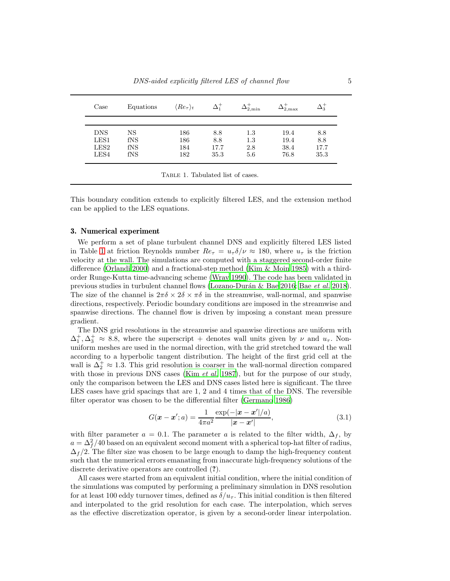| Case       | Equations | $\langle Re_\tau\rangle_t$ |      | $2.\text{min}$ | $2.\text{max}$ |      |
|------------|-----------|----------------------------|------|----------------|----------------|------|
| <b>DNS</b> | NS        | 186                        | 8.8  | 1.3            | 19.4           | 8.8  |
| LES1       | fNS       | 186                        | 8.8  | 1.3            | 19.4           | 8.8  |
| LES2       | fNS       | 184                        | 17.7 | 2.8            | 38.4           | 17.7 |
| LES4       | fNS       | 182                        | 35.3 | 5.6            | 76.8           | 35.3 |

<span id="page-4-1"></span>TABLE 1. Tabulated list of cases.

This boundary condition extends to explicitly filtered LES, and the extension method can be applied to the LES equations.

#### <span id="page-4-0"></span>3. Numerical experiment

We perform a set of plane turbulent channel DNS and explicitly filtered LES listed in Table [1](#page-4-1) at friction Reynolds number  $Re_\tau = u_\tau \delta/\nu \approx 180$ , where  $u_\tau$  is the friction velocity at the wall. The simulations are computed with a staggered second-order finite difference [\(Orlandi 2000\)](#page-10-9) and a fractional-step method [\(Kim & Moin 1985\)](#page-9-5) with a thirdorder Runge-Kutta time-advancing scheme [\(Wray 1990\)](#page-10-10). The code has been validated in previous studies in turbulent channel flows (Lozano-Durán & Bae [2016;](#page-10-11) Bae [et al.](#page-9-6) [2018\)](#page-9-6). The size of the channel is  $2\pi\delta \times 2\delta \times \pi\delta$  in the streamwise, wall-normal, and spanwise directions, respectively. Periodic boundary conditions are imposed in the streamwise and spanwise directions. The channel flow is driven by imposing a constant mean pressure gradient.

The DNS grid resolutions in the streamwise and spanwise directions are uniform with  $\Delta_1^+$ ,  $\Delta_3^+ \approx 8.8$ , where the superscript + denotes wall units given by  $\nu$  and  $u_\tau$ . Nonuniform meshes are used in the normal direction, with the grid stretched toward the wall according to a hyperbolic tangent distribution. The height of the first grid cell at the wall is  $\Delta_2^+ \approx 1.3$ . This grid resolution is coarser in the wall-normal direction compared with those in previous DNS cases (Kim *[et al.](#page-10-12)* [1987\)](#page-10-12), but for the purpose of our study, only the comparison between the LES and DNS cases listed here is significant. The three LES cases have grid spacings that are 1, 2 and 4 times that of the DNS. The reversible filter operator was chosen to be the differential filter [\(Germano 1986\)](#page-9-7)

$$
G(\mathbf{x} - \mathbf{x}'; a) = \frac{1}{4\pi a^2} \frac{\exp(-|\mathbf{x} - \mathbf{x}'|/a)}{|\mathbf{x} - \mathbf{x}'|},
$$
(3.1)

with filter parameter  $a = 0.1$ . The parameter a is related to the filter width,  $\Delta_f$ , by  $a = \Delta_f^2/40$  based on an equivalent second moment with a spherical top-hat filter of radius,  $\Delta_f/2$ . The filter size was chosen to be large enough to damp the high-frequency content such that the numerical errors emanating from inaccurate high-frequency solutions of the discrete derivative operators are controlled (?).

All cases were started from an equivalent initial condition, where the initial condition of the simulations was computed by performing a preliminary simulation in DNS resolution for at least 100 eddy turnover times, defined as  $\delta/u_{\tau}$ . This initial condition is then filtered and interpolated to the grid resolution for each case. The interpolation, which serves as the effective discretization operator, is given by a second-order linear interpolation.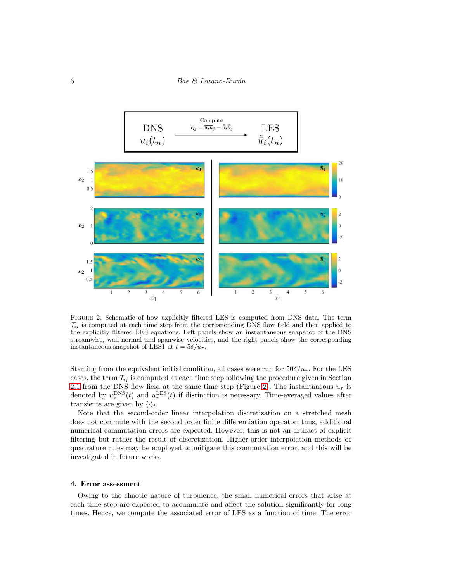

<span id="page-5-1"></span>Figure 2. Schematic of how explicitly filtered LES is computed from DNS data. The term  $\mathcal{T}_{ij}$  is computed at each time step from the corresponding DNS flow field and then applied to the explicitly filtered LES equations. Left panels show an instantaneous snapshot of the DNS streamwise, wall-normal and spanwise velocities, and the right panels show the corresponding instantaneous snapshot of LES1 at  $t = 5\delta/u_{\tau}$ .

Starting from the equivalent initial condition, all cases were run for  $50\delta/u_{\tau}$ . For the LES cases, the term  $\mathcal{T}_{ij}$  is computed at each time step following the procedure given in Section [2.1](#page-1-5) from the DNS flow field at the same time step (Figure [2\)](#page-5-1). The instantaneous  $u<sub>\tau</sub>$  is denoted by  $u_{\tau}^{\text{DNS}}(t)$  and  $u_{\tau}^{\text{LES}}(t)$  if distinction is necessary. Time-averaged values after transients are given by  $\langle \cdot \rangle_t$ .

Note that the second-order linear interpolation discretization on a stretched mesh does not commute with the second order finite differentiation operator; thus, additional numerical commutation errors are expected. However, this is not an artifact of explicit filtering but rather the result of discretization. Higher-order interpolation methods or quadrature rules may be employed to mitigate this commutation error, and this will be investigated in future works.

# <span id="page-5-0"></span>4. Error assessment

Owing to the chaotic nature of turbulence, the small numerical errors that arise at each time step are expected to accumulate and affect the solution significantly for long times. Hence, we compute the associated error of LES as a function of time. The error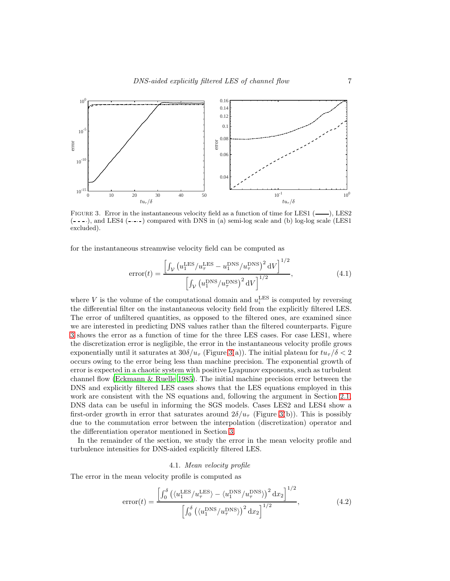

<span id="page-6-0"></span>FIGURE 3. Error in the instantaneous velocity field as a function of time for LES1  $($ , LES2  $(- - - \cdot)$ , and LES4  $(- - -)$  compared with DNS in (a) semi-log scale and (b) log-log scale (LES1 excluded).

for the instantaneous streamwise velocity field can be computed as

error
$$
t = \frac{\left[\int_{\mathcal{V}} \left(u_1^{\text{LES}}/u_\tau^{\text{LES}} - u_1^{\text{DNS}}/u_\tau^{\text{DNS}}\right)^2 dV\right]^{1/2}}{\left[\int_{\mathcal{V}} \left(u_1^{\text{DNS}}/u_\tau^{\text{DNS}}\right)^2 dV\right]^{1/2}},
$$
\n(4.1)

where V is the volume of the computational domain and  $u_i^{\text{LES}}$  is computed by reversing the differential filter on the instantaneous velocity field from the explicitly filtered LES. The error of unfiltered quantities, as opposed to the filtered ones, are examined since we are interested in predicting DNS values rather than the filtered counterparts. Figure [3](#page-6-0) shows the error as a function of time for the three LES cases. For case LES1, where the discretization error is negligible, the error in the instantaneous velocity profile grows exponentially until it saturates at  $30\delta/u_\tau$  (Figure [3\(](#page-6-0)a)). The initial plateau for  $tu_\tau/\delta < 2$ occurs owing to the error being less than machine precision. The exponential growth of error is expected in a chaotic system with positive Lyapunov exponents, such as turbulent channel flow [\(Eckmann & Ruelle 1985](#page-9-8)). The initial machine precision error between the DNS and explicitly filtered LES cases shows that the LES equations employed in this work are consistent with the NS equations and, following the argument in Section [2.1,](#page-1-5) DNS data can be useful in informing the SGS models. Cases LES2 and LES4 show a first-order growth in error that saturates around  $2\delta/u_\tau$  (Figure [3\(](#page-6-0)b)). This is possibly due to the commutation error between the interpolation (discretization) operator and the differentiation operator mentioned in Section [3.](#page-4-0)

In the remainder of the section, we study the error in the mean velocity profile and turbulence intensities for DNS-aided explicitly filtered LES.

#### 4.1. Mean velocity profile

The error in the mean velocity profile is computed as

$$
error(t) = \frac{\left[\int_0^{\delta} \left(\langle u_1^{\text{LES}}/u_\tau^{\text{LES}}\rangle - \langle u_1^{\text{DNS}}/u_\tau^{\text{DNS}}\rangle\right)^2 dx_2\right]^{1/2}}{\left[\int_0^{\delta} \left(\langle u_1^{\text{DNS}}/u_\tau^{\text{DNS}}\rangle\right)^2 dx_2\right]^{1/2}},\tag{4.2}
$$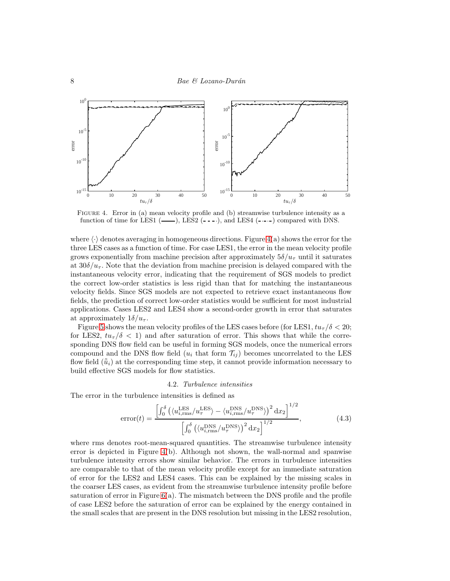

<span id="page-7-0"></span>Figure 4. Error in (a) mean velocity profile and (b) streamwise turbulence intensity as a function of time for LES1  $($ —— $)$ , LES2  $($ --- $)$ , and LES4  $($ ---- $)$  compared with DNS.

where  $\langle \cdot \rangle$  denotes averaging in homogeneous directions. Figure [4\(](#page-7-0)a) shows the error for the three LES cases as a function of time. For case LES1, the error in the mean velocity profile grows exponentially from machine precision after approximately  $5\delta/u_\tau$  until it saturates at  $30\delta/u_{\tau}$ . Note that the deviation from machine precision is delayed compared with the instantaneous velocity error, indicating that the requirement of SGS models to predict the correct low-order statistics is less rigid than that for matching the instantaneous velocity fields. Since SGS models are not expected to retrieve exact instantaneous flow fields, the prediction of correct low-order statistics would be sufficient for most industrial applications. Cases LES2 and LES4 show a second-order growth in error that saturates at approximately  $1\delta/u_{\tau}$ .

Figure [5](#page-8-1) shows the mean velocity profiles of the LES cases before (for LES1,  $tu_\tau/\delta < 20$ ; for LES2,  $tu_{\tau}/\delta$  < 1) and after saturation of error. This shows that while the corresponding DNS flow field can be useful in forming SGS models, once the numerical errors compound and the DNS flow field  $(u_i \text{ that form } \mathcal{T}_{ij})$  becomes uncorrelated to the LES flow field  $(\tilde{u}_i)$  at the corresponding time step, it cannot provide information necessary to build effective SGS models for flow statistics.

### 4.2. Turbulence intensities

The error in the turbulence intensities is defined as

$$
error(t) = \frac{\left[\int_0^{\delta} \left(\langle u_{i,\text{rms}}^{\text{LES}} / u_{\tau}^{\text{LES}} \rangle - \langle u_{i,\text{rms}}^{\text{DNS}} / u_{\tau}^{\text{DNS}} \rangle\right)^2 dx_2\right]^{1/2}}{\left[\int_0^{\delta} \left(\langle u_{i,\text{rms}}^{\text{DNS}} / u_{\tau}^{\text{DNS}} \rangle\right)^2 dx_2\right]^{1/2}},\tag{4.3}
$$

where rms denotes root-mean-squared quantities. The streamwise turbulence intensity error is depicted in Figure [4\(](#page-7-0)b). Although not shown, the wall-normal and spanwise turbulence intensity errors show similar behavior. The errors in turbulence intensities are comparable to that of the mean velocity profile except for an immediate saturation of error for the LES2 and LES4 cases. This can be explained by the missing scales in the coarser LES cases, as evident from the streamwise turbulence intensity profile before saturation of error in Figure  $6(a)$ . The mismatch between the DNS profile and the profile of case LES2 before the saturation of error can be explained by the energy contained in the small scales that are present in the DNS resolution but missing in the LES2 resolution,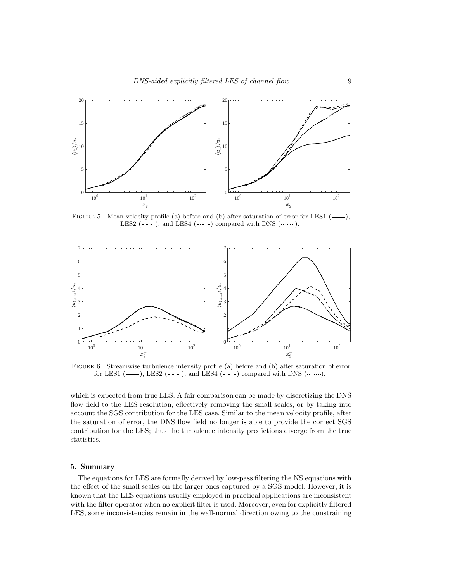

<span id="page-8-1"></span>FIGURE 5. Mean velocity profile (a) before and (b) after saturation of error for LES1  $($ — $),$ LES2  $(- - )$ , and LES4  $(- - )$  compared with DNS  $(\cdots \cdots)$ .



<span id="page-8-2"></span>Figure 6. Streamwise turbulence intensity profile (a) before and (b) after saturation of error for LES1  $($ ——), LES2  $($ ---), and LES4  $($ ---) compared with DNS  $($ .......).

which is expected from true LES. A fair comparison can be made by discretizing the DNS flow field to the LES resolution, effectively removing the small scales, or by taking into account the SGS contribution for the LES case. Similar to the mean velocity profile, after the saturation of error, the DNS flow field no longer is able to provide the correct SGS contribution for the LES; thus the turbulence intensity predictions diverge from the true statistics.

# <span id="page-8-0"></span>5. Summary

The equations for LES are formally derived by low-pass filtering the NS equations with the effect of the small scales on the larger ones captured by a SGS model. However, it is known that the LES equations usually employed in practical applications are inconsistent with the filter operator when no explicit filter is used. Moreover, even for explicitly filtered LES, some inconsistencies remain in the wall-normal direction owing to the constraining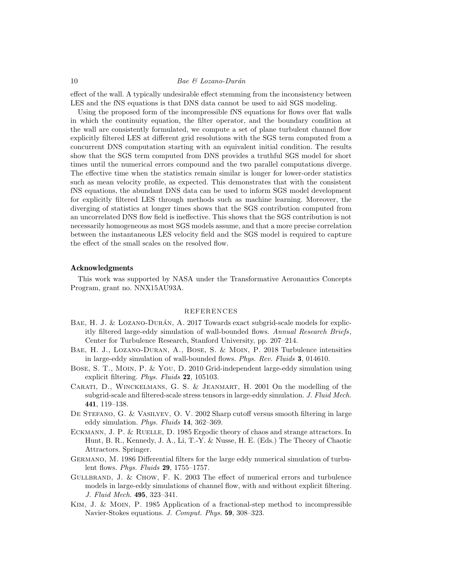# 10 Bae & Lozano-Durán

effect of the wall. A typically undesirable effect stemming from the inconsistency between LES and the fNS equations is that DNS data cannot be used to aid SGS modeling.

Using the proposed form of the incompressible fNS equations for flows over flat walls in which the continuity equation, the filter operator, and the boundary condition at the wall are consistently formulated, we compute a set of plane turbulent channel flow explicitly filtered LES at different grid resolutions with the SGS term computed from a concurrent DNS computation starting with an equivalent initial condition. The results show that the SGS term computed from DNS provides a truthful SGS model for short times until the numerical errors compound and the two parallel computations diverge. The effective time when the statistics remain similar is longer for lower-order statistics such as mean velocity profile, as expected. This demonstrates that with the consistent fNS equations, the abundant DNS data can be used to inform SGS model development for explicitly filtered LES through methods such as machine learning. Moreover, the diverging of statistics at longer times shows that the SGS contribution computed from an uncorrelated DNS flow field is ineffective. This shows that the SGS contribution is not necessarily homogeneous as most SGS models assume, and that a more precise correlation between the instantaneous LES velocity field and the SGS model is required to capture the effect of the small scales on the resolved flow.

# Acknowledgments

This work was supported by NASA under the Transformative Aeronautics Concepts Program, grant no. NNX15AU93A.

#### REFERENCES

- <span id="page-9-3"></span>BAE, H. J. & LOZANO-DURÁN, A.  $2017$  Towards exact subgrid-scale models for explicitly filtered large-eddy simulation of wall-bounded flows. Annual Research Briefs, Center for Turbulence Research, Stanford University, pp. 207–214.
- <span id="page-9-6"></span>Bae, H. J., Lozano-Duran, A., Bose, S. & Moin, P. 2018 Turbulence intensities in large-eddy simulation of wall-bounded flows. Phys. Rev. Fluids 3, 014610.
- <span id="page-9-2"></span>Bose, S. T., Moin, P. & You, D. 2010 Grid-independent large-eddy simulation using explicit filtering. Phys. Fluids 22, 105103.
- <span id="page-9-4"></span>Carati, D., Winckelmans, G. S. & Jeanmart, H. 2001 On the modelling of the subgrid-scale and filtered-scale stress tensors in large-eddy simulation. J. Fluid Mech. 441, 119–138.
- <span id="page-9-0"></span>DE STEFANO, G. & VASILYEV, O. V. 2002 Sharp cutoff versus smooth filtering in large eddy simulation. Phys. Fluids 14, 362–369.
- <span id="page-9-8"></span>ECKMANN, J. P. & RUELLE, D. 1985 Ergodic theory of chaos and strange attractors. In Hunt, B. R., Kennedy, J. A., Li, T.-Y. & Nusse, H. E. (Eds.) The Theory of Chaotic Attractors. Springer.
- <span id="page-9-7"></span>Germano, M. 1986 Differential filters for the large eddy numerical simulation of turbulent flows. Phys. Fluids 29, 1755–1757.
- <span id="page-9-1"></span>Gullbrand, J. & Chow, F. K. 2003 The effect of numerical errors and turbulence models in large-eddy simulations of channel flow, with and without explicit filtering. J. Fluid Mech. 495, 323–341.
- <span id="page-9-5"></span>Kim, J. & Moin, P. 1985 Application of a fractional-step method to incompressible Navier-Stokes equations. J. Comput. Phys. 59, 308–323.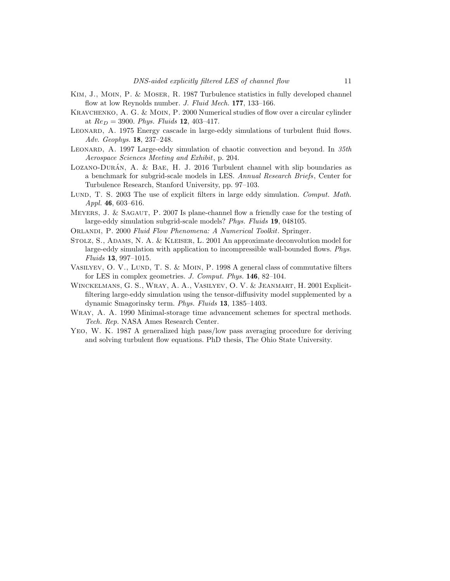- <span id="page-10-12"></span>Kim, J., Moin, P. & Moser, R. 1987 Turbulence statistics in fully developed channel flow at low Reynolds number. *J. Fluid Mech.* 177, 133–166.
- <span id="page-10-2"></span>Kravchenko, A. G. & Moin, P. 2000 Numerical studies of flow over a circular cylinder at  $Re_D = 3900$ . Phys. Fluids 12, 403-417.
- <span id="page-10-0"></span>LEONARD, A. 1975 Energy cascade in large-eddy simulations of turbulent fluid flows. Adv. Geophys. 18, 237–248.
- <span id="page-10-8"></span>LEONARD, A. 1997 Large-eddy simulation of chaotic convection and beyond. In  $35th$ Aerospace Sciences Meeting and Exhibit, p. 204.
- <span id="page-10-11"></span> $LoZANO-DURÁN, A. & BAE, H. J. 2016 Turbulent channel with slip boundaries as$ a benchmark for subgrid-scale models in LES. Annual Research Briefs, Center for Turbulence Research, Stanford University, pp. 97–103.
- <span id="page-10-1"></span>LUND, T. S. 2003 The use of explicit filters in large eddy simulation. Comput. Math. *Appl.* **46**, 603–616.
- <span id="page-10-3"></span>Meyers, J. & Sagaut, P. 2007 Is plane-channel flow a friendly case for the testing of large-eddy simulation subgrid-scale models? Phys. Fluids 19, 048105.
- <span id="page-10-9"></span>ORLANDI, P. 2000 Fluid Flow Phenomena: A Numerical Toolkit. Springer.
- <span id="page-10-5"></span>Stolz, S., Adams, N. A. & Kleiser, L. 2001 An approximate deconvolution model for large-eddy simulation with application to incompressible wall-bounded flows. Phys. Fluids 13, 997–1015.
- <span id="page-10-6"></span>VASILYEV, O. V., LUND, T. S. & MOIN, P. 1998 A general class of commutative filters for LES in complex geometries. J. Comput. Phys. 146, 82-104.
- <span id="page-10-4"></span>Winckelmans, G. S., Wray, A. A., Vasilyev, O. V. & Jeanmart, H. 2001 Explicitfiltering large-eddy simulation using the tensor-diffusivity model supplemented by a dynamic Smagorinsky term. Phys. Fluids 13, 1385–1403.
- <span id="page-10-10"></span>Wray, A. A. 1990 Minimal-storage time advancement schemes for spectral methods. Tech. Rep. NASA Ames Research Center.
- <span id="page-10-7"></span>Yeo, W. K. 1987 A generalized high pass/low pass averaging procedure for deriving and solving turbulent flow equations. PhD thesis, The Ohio State University.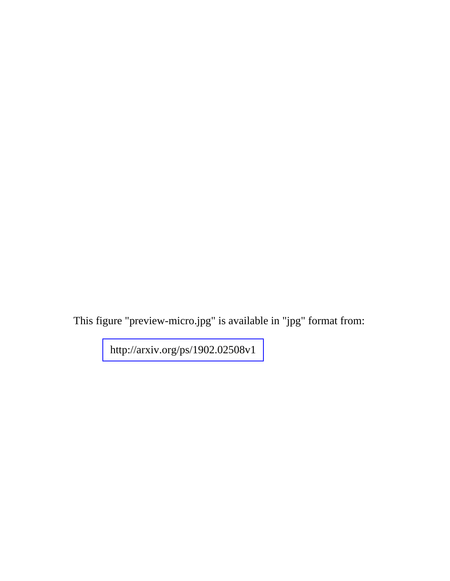This figure "preview-micro.jpg" is available in "jpg" format from:

<http://arxiv.org/ps/1902.02508v1>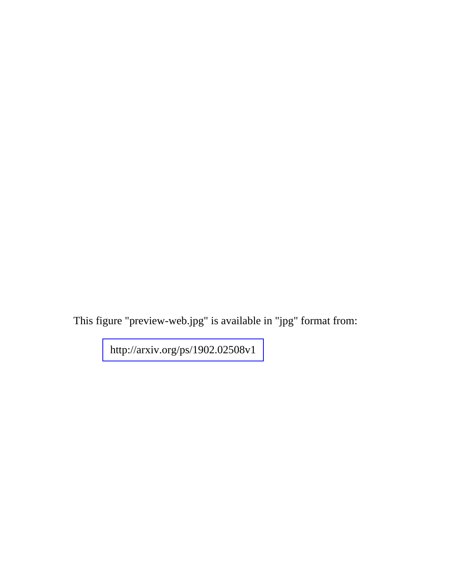This figure "preview-web.jpg" is available in "jpg" format from:

<http://arxiv.org/ps/1902.02508v1>